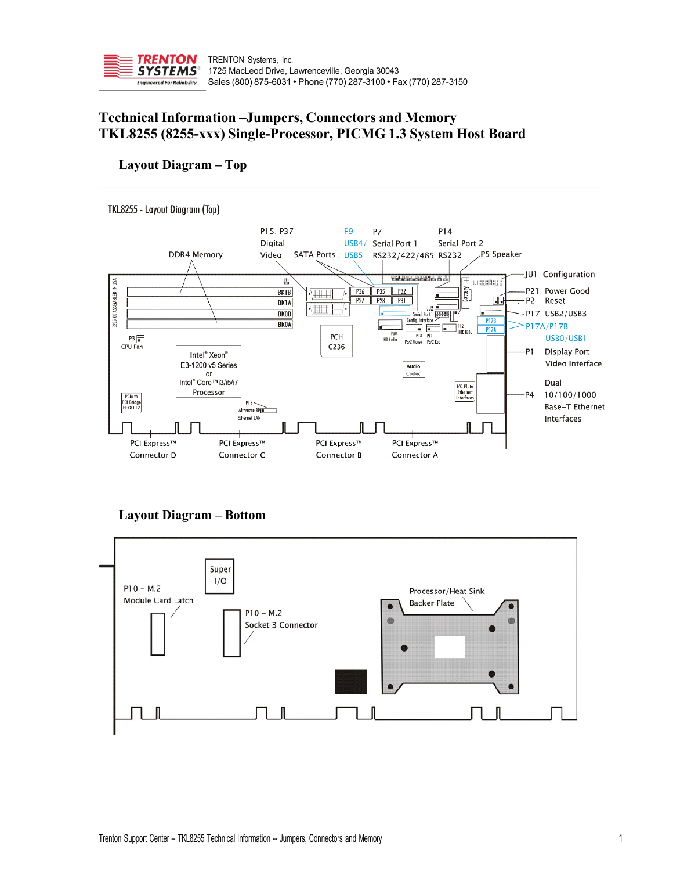

# **Technical Information –Jumpers, Connectors and Memory TKL8255 (8255-xxx) Single-Processor, PICMG 1.3 System Host Board**

# **Layout Diagram – Top**



# **Layout Diagram – Bottom**

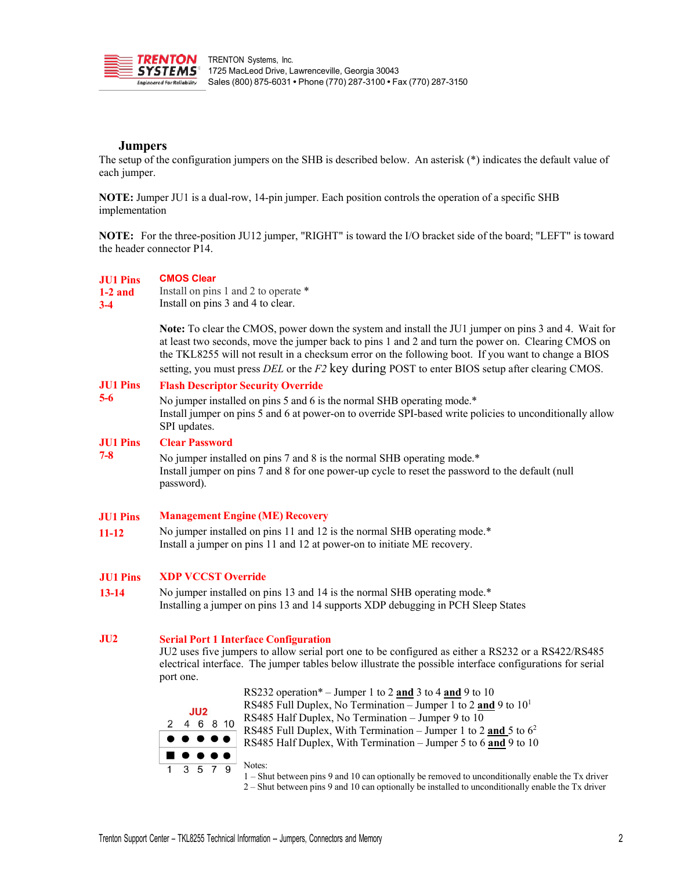

# **Jumpers**

The setup of the configuration jumpers on the SHB is described below. An asterisk (\*) indicates the default value of each jumper.

**NOTE:** Jumper JU1 is a dual-row, 14-pin jumper. Each position controls the operation of a specific SHB implementation

**NOTE:** For the three-position JU12 jumper, "RIGHT" is toward the I/O bracket side of the board; "LEFT" is toward the header connector P14.

| <b>JU1 Pins</b><br>$1-2$ and<br>$3 - 4$ | <b>CMOS Clear</b><br>Install on pins 1 and 2 to operate *<br>Install on pins 3 and 4 to clear.                                                                                                                                                                                                                                                                                                                         |  |  |  |  |
|-----------------------------------------|------------------------------------------------------------------------------------------------------------------------------------------------------------------------------------------------------------------------------------------------------------------------------------------------------------------------------------------------------------------------------------------------------------------------|--|--|--|--|
|                                         | Note: To clear the CMOS, power down the system and install the JU1 jumper on pins 3 and 4. Wait for<br>at least two seconds, move the jumper back to pins 1 and 2 and turn the power on. Clearing CMOS on<br>the TKL8255 will not result in a checksum error on the following boot. If you want to change a BIOS<br>setting, you must press $DEL$ or the $F2$ key during POST to enter BIOS setup after clearing CMOS. |  |  |  |  |
| <b>JU1 Pins</b>                         | <b>Flash Descriptor Security Override</b>                                                                                                                                                                                                                                                                                                                                                                              |  |  |  |  |
| $5-6$                                   | No jumper installed on pins 5 and 6 is the normal SHB operating mode.*<br>Install jumper on pins 5 and 6 at power-on to override SPI-based write policies to unconditionally allow<br>SPI updates.                                                                                                                                                                                                                     |  |  |  |  |
| <b>JU1 Pins</b>                         | <b>Clear Password</b>                                                                                                                                                                                                                                                                                                                                                                                                  |  |  |  |  |
| $7 - 8$                                 | No jumper installed on pins 7 and 8 is the normal SHB operating mode.*<br>Install jumper on pins 7 and 8 for one power-up cycle to reset the password to the default (null<br>password).                                                                                                                                                                                                                               |  |  |  |  |
| <b>JU1 Pins</b>                         | <b>Management Engine (ME) Recovery</b>                                                                                                                                                                                                                                                                                                                                                                                 |  |  |  |  |
| $11 - 12$                               | No jumper installed on pins 11 and 12 is the normal SHB operating mode.*<br>Install a jumper on pins 11 and 12 at power-on to initiate ME recovery.                                                                                                                                                                                                                                                                    |  |  |  |  |
| <b>JU1 Pins</b>                         | <b>XDP VCCST Override</b>                                                                                                                                                                                                                                                                                                                                                                                              |  |  |  |  |
| $13 - 14$                               | No jumper installed on pins 13 and 14 is the normal SHB operating mode.*<br>Installing a jumper on pins 13 and 14 supports XDP debugging in PCH Sleep States                                                                                                                                                                                                                                                           |  |  |  |  |
| JU2                                     | <b>Serial Port 1 Interface Configuration</b><br>JU2 uses five jumpers to allow serial port one to be configured as either a RS232 or a RS422/RS485<br>electrical interface. The jumper tables below illustrate the possible interface configurations for serial                                                                                                                                                        |  |  |  |  |

 $J<sub>U2</sub>$  $\mathcal{P}$ 

port one.

 $\overline{1}$ 

RS232 operation\* – Jumper 1 to 2 **and** 3 to 4 **and** 9 to 10 RS485 Full Duplex, No Termination – Jumper 1 to 2 **and** 9 to 101 RS485 Half Duplex, No Termination – Jumper 9 to 10 4 6 8 10 RS485 Full Duplex, With Termination – Jumper 1 to 2 **and** 5 to 62 RS485 Half Duplex, With Termination – Jumper 5 to 6 **and** 9 to 10  $\bullet$ Notes:  $5<sub>7</sub>$ 3 9 1 – Shut between pins 9 and 10 can optionally be removed to unconditionally enable the Tx driver

2 – Shut between pins 9 and 10 can optionally be installed to unconditionally enable the Tx driver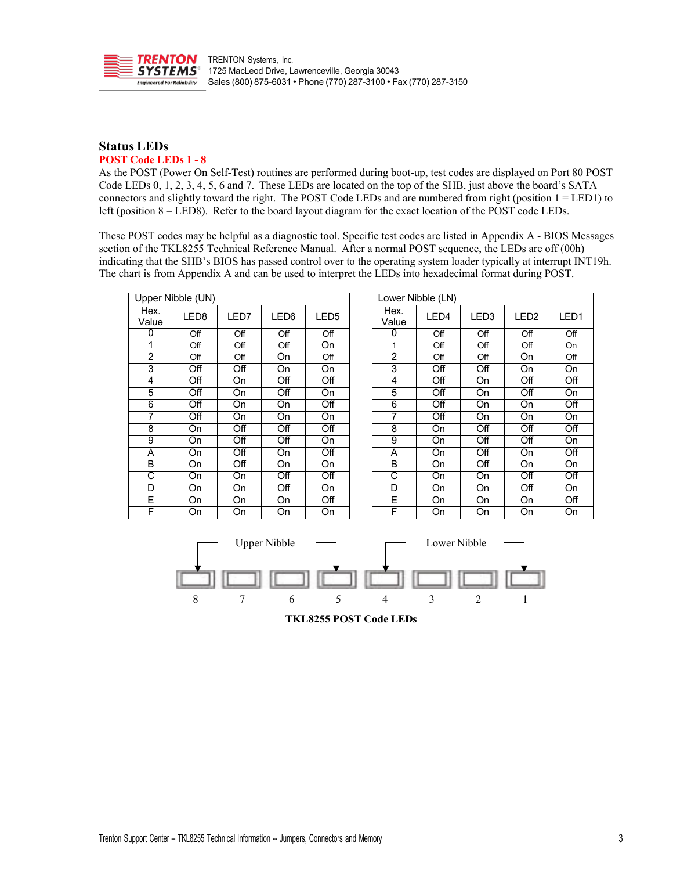

# **Status LEDs POST Code LEDs 1 - 8**

As the POST (Power On Self-Test) routines are performed during boot-up, test codes are displayed on Port 80 POST Code LEDs 0, 1, 2, 3, 4, 5, 6 and 7. These LEDs are located on the top of the SHB, just above the board's SATA connectors and slightly toward the right. The POST Code LEDs and are numbered from right (position 1 = LED1) to left (position 8 – LED8). Refer to the board layout diagram for the exact location of the POST code LEDs.

These POST codes may be helpful as a diagnostic tool. Specific test codes are listed in Appendix A - BIOS Messages section of the TKL8255 Technical Reference Manual. After a normal POST sequence, the LEDs are off (00h) indicating that the SHB's BIOS has passed control over to the operating system loader typically at interrupt INT19h. The chart is from Appendix A and can be used to interpret the LEDs into hexadecimal format during POST.

| Upper Nibble (UN) |                  |                  |                  |                  |  |                | Lower Nibble (LN) |                  |                  |     |
|-------------------|------------------|------------------|------------------|------------------|--|----------------|-------------------|------------------|------------------|-----|
| Hex.<br>Value     | LED8             | LED7             | LED <sub>6</sub> | LED <sub>5</sub> |  | Hex.<br>Value  | LED4              | LED <sub>3</sub> | LED <sub>2</sub> | LED |
| 0                 | Off              | Off              | Off              | Off              |  | 0              | Off               | Off              | Off              | Off |
|                   | Off              | Off              | Off              | On               |  | 1              | Off               | Off              | Off              | On  |
| 2                 | Off              | Off              | On               | Off              |  | $\overline{2}$ | Off               | Off              | On               | Off |
| 3                 | $\overline{Off}$ | Off              | On               | On               |  | 3              | Off               | Off              | On               | On  |
| 4                 | Off              | On               | Off              | Off              |  | 4              | Off               | On               | Off              | Off |
| 5                 | Off              | On               | Off              | On               |  | 5              | Off               | On               | Off              | On  |
| 6                 | $\overline{Off}$ | On               | On               | $\overline{Off}$ |  | 6              | Off               | On               | On               | Off |
| 7                 | Off              | On               | On               | On               |  | 7              | Off               | On               | On               | On  |
| 8                 | On.              | $\overline{Off}$ | $\overline{Off}$ | $\overline{Off}$ |  | 8              | <b>On</b>         | $\overline{Off}$ | Off              | Off |
| 9                 | On               | Off              | $\overline{Off}$ | On               |  | 9              | On                | $\overline{Off}$ | Off              | On  |
| A                 | On.              | Off              | <b>On</b>        | Off              |  | A              | <b>On</b>         | Off              | <b>On</b>        | Off |
| В                 | On               | Off              | On               | On               |  | B              | On                | $\overline{Off}$ | On               | On  |
| C                 | On.              | On               | Off              | Off              |  | C              | <b>On</b>         | <b>On</b>        | Off              | Off |
| D                 | <b>On</b>        | On               | Off              | <b>On</b>        |  | D              | <b>On</b>         | On               | Off              | On  |
| E                 | On               | On               | On               | Off              |  | E              | <b>On</b>         | On               | <b>On</b>        | Off |
| F                 | <b>On</b>        | On               | On               | On               |  | F              | On                | On               | <b>On</b>        | On  |

| per Nibble (UN) |                  |           |                  |                  |                | Lower Nibble (LN) |                  |                  |                  |
|-----------------|------------------|-----------|------------------|------------------|----------------|-------------------|------------------|------------------|------------------|
| ex.<br>alue     | LED <sub>8</sub> | LED7      | LED <sub>6</sub> | LED <sub>5</sub> | Hex.<br>Value  | LED4              | LED <sub>3</sub> | LED <sub>2</sub> | LED <sub>1</sub> |
| $\overline{0}$  | Off              | Off       | Off              | Off              | 0              | Off               | Off              | Off              | Off              |
| 1               | Off              | Off       | Off              | $\overline{On}$  | 1              | Off               | Off              | Off              | On               |
| $\overline{2}$  | Off              | Off       | On               | Off              | $\overline{2}$ | Off               | Off              | <b>On</b>        | Off              |
| 3               | Off              | Off       | On               | On               | 3              | Off               | Off              | <b>On</b>        | On               |
| 4               | Off              | On        | Off              | Off              | 4              | Off               | On               | Off              | Off              |
| 5               | Off              | <b>On</b> | Off              | On               | 5              | Off               | <b>On</b>        | Off              | On               |
| 6               | Off              | <b>On</b> | On               | Off              | 6              | Off               | On               | <b>On</b>        | Off              |
| 7               | Off              | On        | On               | On               | 7              | Off               | On               | <b>On</b>        | On               |
| 8               | On               | Off       | Off              | Off              | 8              | On                | Off              | Off              | Off              |
| $\overline{9}$  | On               | Off       | Off              | On               | 9              | On                | Off              | Off              | On               |
| Ā               | On               | Off       | On               | Off              | A              | On                | Off              | <b>On</b>        | Off              |
| B               | On               | Off       | On               | On               | B              | On                | Off              | On               | On               |
| C               | On               | <b>On</b> | Off              | Off              | C              | On                | <b>On</b>        | Off              | Off              |
| D               | On               | On        | Off              | On               | D              | On                | On               | Off              | On               |
| Ē               | On               | On        | On               | Off              | E              | On                | On               | On               | Off              |
| Ē               | On.              | On.       | On.              | On.              | F              | On                | On.              | On.              | On.              |

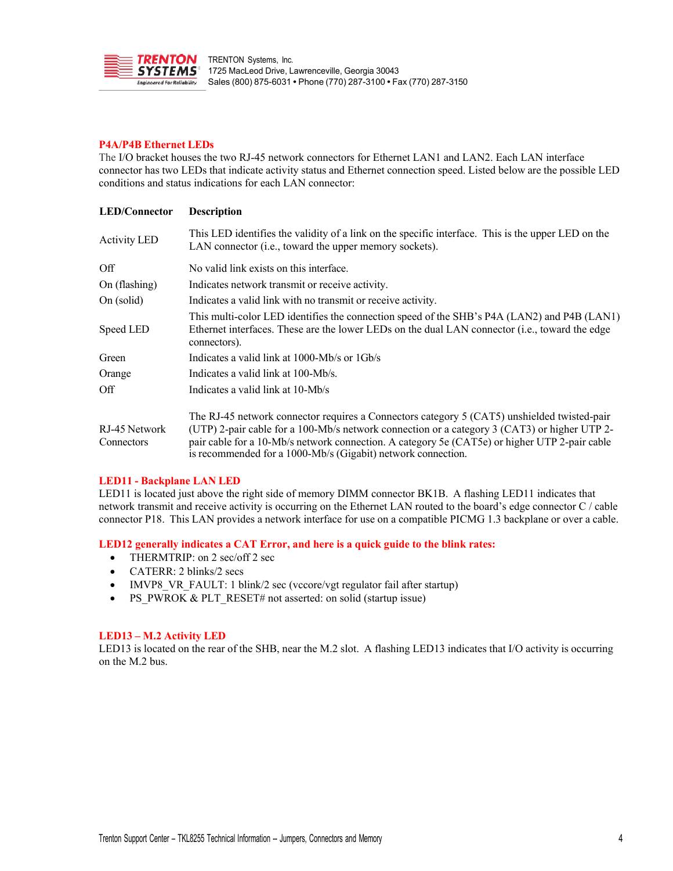

### **P4A/P4B Ethernet LEDs**

The I/O bracket houses the two RJ-45 network connectors for Ethernet LAN1 and LAN2. Each LAN interface connector has two LEDs that indicate activity status and Ethernet connection speed. Listed below are the possible LED conditions and status indications for each LAN connector:

| <b>LED/Connector</b> | <b>Description</b>                                                                                                                                                                                            |
|----------------------|---------------------------------------------------------------------------------------------------------------------------------------------------------------------------------------------------------------|
| <b>Activity LED</b>  | This LED identifies the validity of a link on the specific interface. This is the upper LED on the<br>LAN connector ( <i>i.e.</i> , toward the upper memory sockets).                                         |
| Off                  | No valid link exists on this interface.                                                                                                                                                                       |
| On (flashing)        | Indicates network transmit or receive activity.                                                                                                                                                               |
| On (solid)           | Indicates a valid link with no transmit or receive activity.                                                                                                                                                  |
| Speed LED            | This multi-color LED identifies the connection speed of the SHB's P4A (LAN2) and P4B (LAN1)<br>Ethernet interfaces. These are the lower LEDs on the dual LAN connector (i.e., toward the edge<br>connectors). |
| Green                | Indicates a valid link at 1000-Mb/s or 1Gb/s                                                                                                                                                                  |
| Orange               | Indicates a valid link at 100-Mb/s.                                                                                                                                                                           |
| Off                  | Indicates a valid link at 10-Mb/s                                                                                                                                                                             |
|                      | The RJ-45 network connector requires a Connectors category 5 (CAT5) unshielded twisted-pair                                                                                                                   |
| RJ-45 Network        | (UTP) 2-pair cable for a 100-Mb/s network connection or a category 3 (CAT3) or higher UTP 2-                                                                                                                  |
| Connectors           | pair cable for a 10-Mb/s network connection. A category 5e (CAT5e) or higher UTP 2-pair cable<br>is recommended for a 1000-Mb/s (Gigabit) network connection.                                                 |

### **LED11 - Backplane LAN LED**

LED11 is located just above the right side of memory DIMM connector BK1B. A flashing LED11 indicates that network transmit and receive activity is occurring on the Ethernet LAN routed to the board's edge connector C / cable connector P18. This LAN provides a network interface for use on a compatible PICMG 1.3 backplane or over a cable.

# **LED12 generally indicates a CAT Error, and here is a quick guide to the blink rates:**

- THERMTRIP: on 2 sec/off 2 sec
- CATERR: 2 blinks/2 secs
- IMVP8 VR FAULT: 1 blink/2 sec (vccore/vgt regulator fail after startup)
- PS\_PWROK & PLT\_RESET# not asserted: on solid (startup issue)

### **LED13 – M.2 Activity LED**

LED13 is located on the rear of the SHB, near the M.2 slot. A flashing LED13 indicates that I/O activity is occurring on the M.2 bus.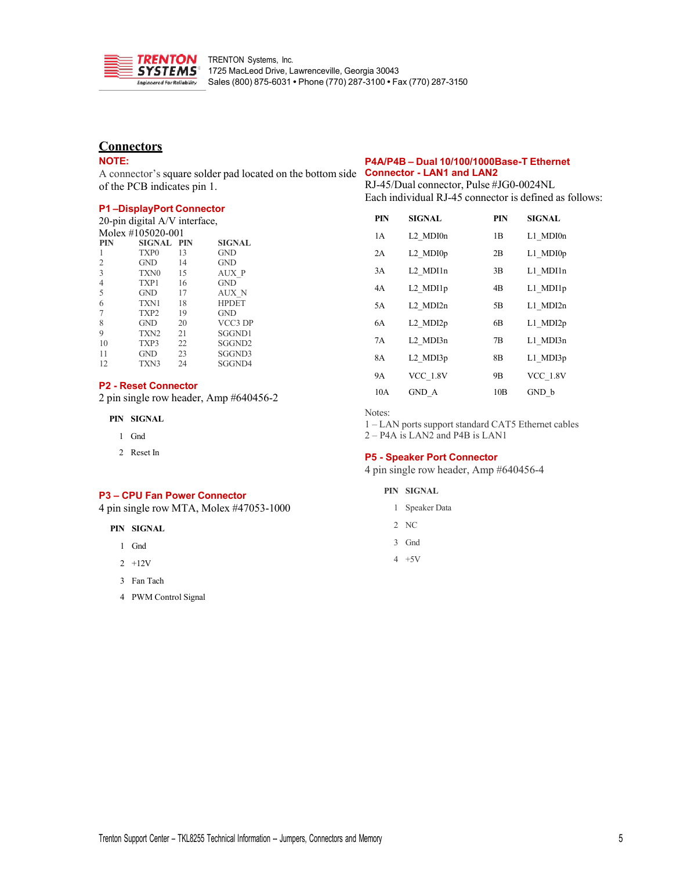

# **Connectors**

### **NOTE:**

A connector's square solder pad located on the bottom side **Connector - LAN1 and LAN2** of the PCB indicates pin 1.

### **P1 –DisplayPort Connector**

| 20-pin digital A/V interface, |
|-------------------------------|
| $1.5.1$ $11.07000001$         |

| Molex #105020-001 |                   |    |                    |  |  |  |  |
|-------------------|-------------------|----|--------------------|--|--|--|--|
| PIN               | <b>SIGNAL PIN</b> |    | <b>SIGNAL</b>      |  |  |  |  |
|                   | TXP <sub>0</sub>  | 13 | <b>GND</b>         |  |  |  |  |
| $\overline{2}$    | <b>GND</b>        | 14 | <b>GND</b>         |  |  |  |  |
| 3                 | TXN <sub>0</sub>  | 15 | AUX P              |  |  |  |  |
| 4                 | TXP1              | 16 | <b>GND</b>         |  |  |  |  |
| 5                 | <b>GND</b>        | 17 | AUX N              |  |  |  |  |
| 6                 | TXN1              | 18 | <b>HPDET</b>       |  |  |  |  |
| 7                 | TXP <sub>2</sub>  | 19 | <b>GND</b>         |  |  |  |  |
| 8                 | <b>GND</b>        | 20 | VCC3 DP            |  |  |  |  |
| 9                 | TXN <sub>2</sub>  | 21 | SGGND1             |  |  |  |  |
| 10                | TXP3              | 22 | SGGND <sub>2</sub> |  |  |  |  |
| 11                | <b>GND</b>        | 23 | SGGND3             |  |  |  |  |
| 12                | TXN3              | 24 | SGGND4             |  |  |  |  |

#### **P2 - Reset Connector**

2 pin single row header, Amp #640456-2

**PIN SIGNAL**

- 1 Gnd
- 2 Reset In

#### **P3 – CPU Fan Power Connector**

4 pin single row MTA, Molex #47053-1000

**PIN SIGNAL**

- 1 Gnd
- 2 +12V
- 3 Fan Tach
- 4 PWM Control Signal

# **P4A/P4B – Dual 10/100/1000Base-T Ethernet**

RJ-45/Dual connector, Pulse #JG0-0024NL Each individual RJ-45 connector is defined as follows:

| <b>PIN</b> | <b>SIGNAL</b>   | <b>PIN</b> | <b>SIGNAL</b>   |
|------------|-----------------|------------|-----------------|
| 1 A        | L2 MDI0n        | 1B         | L1 MDI0n        |
| 2A         | L2 MDI0p        | 2B         | $L1$ MDI $0p$   |
| 3A         | L2 MDI1n        | 3B         | L1 MDI1n        |
| 4A         | L2 MDI1p        | 4B         | L1 MDI1p        |
| 5A         | L2 MDI2n        | 5B         | L1 MDI2n        |
| 6A         | L2 MDI2p        | 6B         | L1 MDI2p        |
| 7A         | L2 MDI3n        | 7B         | L1 MDI3n        |
| 8A         | L2 MDI3p        | 8Β         | L1 MDI3p        |
| <b>9A</b>  | <b>VCC 1.8V</b> | 9Β         | <b>VCC 1.8V</b> |
| 10A        | GND A           | 10B        | GND b           |

Notes:

1 – LAN ports support standard CAT5 Ethernet cables

2 – P4A is LAN2 and P4B is LAN1

### **P5 - Speaker Port Connector**

4 pin single row header, Amp #640456-4

- **PIN SIGNAL**
	- 1 Speaker Data
	- 2 NC
	- 3 Gnd
	- 4 +5V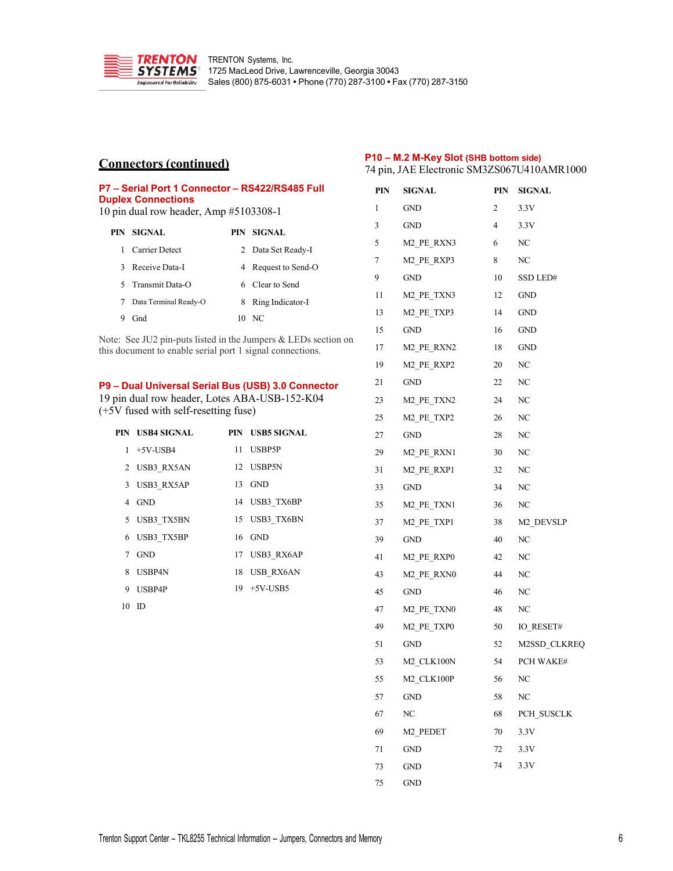

# **Connectors (continued)**

### **P10 – M.2 M-Key Slot (SHB bottom side)** pin, JAE Electronic SM3ZS067U410AMR1000

| P7 – Serial Port 1 Connector – RS422/RS485 Full<br><b>Duplex Connections</b><br>10 pin dual row header, Amp #5103308-1 |                       |     |                     |  |  |
|------------------------------------------------------------------------------------------------------------------------|-----------------------|-----|---------------------|--|--|
|                                                                                                                        | PIN SIGNAL            | PIN | <b>SIGNAL</b>       |  |  |
| 1                                                                                                                      | <b>Carrier Detect</b> |     | 2 Data Set Ready-I  |  |  |
|                                                                                                                        | 3 Receive Data-I      |     | 4 Request to Send-O |  |  |
|                                                                                                                        | 5 Transmit Data-O     |     | 6 Clear to Send     |  |  |
|                                                                                                                        | Data Terminal Ready-O | 8   | Ring Indicator-I    |  |  |
| 9                                                                                                                      | Gnd                   |     | 10NC                |  |  |

Note: See JU2 pin-puts listed in the Jumpers & LEDs section on this document to enable serial port 1 signal connections.

### **P9 – Dual Universal Serial Bus (USB) 3.0 Connector**

19 pin dual row header, Lotes ABA-USB-152-K04 (+5V fused with self-resetting fuse)

| PIN – USB4 SIGNAL | PIN USB5 SIGNAL |
|-------------------|-----------------|
| $1 + 5V$ -USB4    | 11 USBP5P       |
| 2 USB3 RX5AN      | 12 USBP5N       |
| 3 USB3 RX5AP      | 13 GND          |
| 4 GND             | 14 USB3 TX6BP   |
| 5 USB3 TX5BN      | 15 USB3 TX6BN   |
| 6 USB3 TX5BP      | $16$ GND        |
| 7 GND             | 17 USB3 RX6AP   |
| 8 USBP4N          | 18 USB RX6AN    |
| 9 USBP4P          | 19 +5V-USB5     |
| $10$ ID           |                 |

|    | PIN SIGNAL                         |           | PIN SIGNAL   |
|----|------------------------------------|-----------|--------------|
| 1  | GND                                | 2         | 3.3V         |
| 3  | <b>GND</b>                         | $4 \quad$ | 3.3V         |
| 5  | M2 PE RXN3                         |           | NC           |
| 7  | M2 PE RXP3                         | 8         | NC           |
| 9  | <b>GND</b>                         | 10        | SSD LED#     |
|    | 11 M2 PE TXN3                      | 12        | <b>GND</b>   |
|    | 13 M2 PE TXP3                      |           | 14 GND       |
| 15 | <b>GND</b>                         | 16        | <b>GND</b>   |
|    | 17 M2 PE RXN2                      | 18        | <b>GND</b>   |
| 19 | M2 PE RXP2                         | 20        | NC           |
| 21 | <b>GND</b>                         | 22        | NC           |
|    | 23 M2 PE TXN2                      | 24        | NC           |
| 25 | M2 PE TXP2                         | 26        | NC           |
| 27 | <b>GND</b>                         | 28        | NC           |
|    | 29 M2 PE RXN1                      | 30        | NC           |
| 31 | M <sub>2</sub> PE RXP <sub>1</sub> | 32        | NC           |
|    | 33 GND                             | 34        | NC           |
|    | 35 M2 PE TXN1                      | 36        | NC           |
| 37 | M2 PE TXP1                         | 38        | M2 DEVSLP    |
| 39 | <b>GND</b>                         | 40        | NC           |
| 41 | M2 PE RXP0                         | 42        | NC           |
| 43 | M <sub>2</sub> PE RXN <sub>0</sub> | 44        | NC           |
| 45 | <b>GND</b>                         | 46        | NC           |
| 47 | M2_PE_TXN0                         | 48        | NC           |
| 49 | M2 PE TXP0                         | 50        | IO RESET#    |
|    | 51 GND                             | 52        | M2SSD CLKREQ |
|    | 53 M2 CLK100N                      | 54        | PCH WAKE#    |
| 55 | M2 CLK100P                         | 56        | NC           |
| 57 | <b>GND</b>                         | 58        | NC           |
| 67 | NC                                 | 68        | PCH SUSCLK   |
| 69 | M <sub>2</sub> PEDET               | 70        | 3.3V         |
| 71 | GND                                | 72        | 3.3V         |
| 73 | GND                                | 74        | 3.3V         |
| 75 | GND                                |           |              |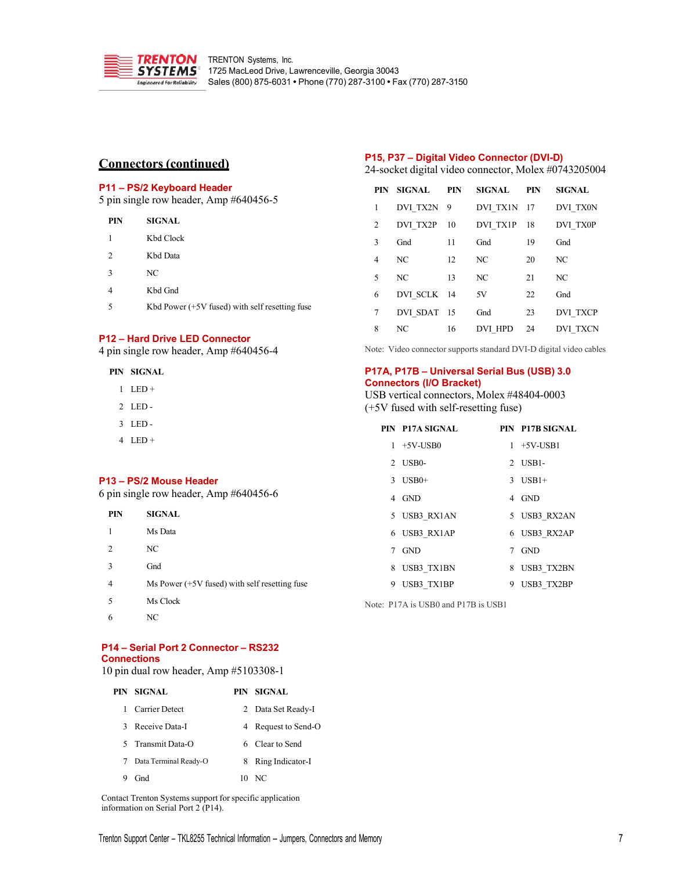

# **Connectors (continued)**

# **P11 – PS/2 Keyboard Header**

5 pin single row header, Amp #640456-5

| PIN | <b>SIGNAL</b>                                    |
|-----|--------------------------------------------------|
| 1   | Kbd Clock                                        |
| 2   | Kbd Data                                         |
| 3   | NC                                               |
|     | Kbd Gnd                                          |
| 5   | Kbd Power $(+5V$ fused) with self resetting fuse |
|     |                                                  |

# **P12 – Hard Drive LED Connector**

4 pin single row header, Amp #640456-4

**PIN SIGNAL**

- $1$  LED +
- 2 LED -
- 3 LED -
- 4 LED +

#### **P13 – PS/2 Mouse Header**

6 pin single row header, Amp #640456-6

| PIN            | <b>SIGNAL</b>                                   |      |
|----------------|-------------------------------------------------|------|
| $\mathbf{1}$   | Ms Data                                         |      |
| 2              | NC                                              |      |
| 3              | Gnd                                             |      |
| $\overline{4}$ | Ms Power $(+5V$ fused) with self resetting fuse |      |
| 5              | Ms Clock                                        | Note |
| 6              | NС                                              |      |

**P14 – Serial Port 2 Connector – RS232 Connections**

10 pin dual row header, Amp #5103308-1

|   | PIN SIGNAL            |    | PIN SIGNAL         |
|---|-----------------------|----|--------------------|
|   | Carrier Detect        |    | 2 Data Set Ready-I |
| 3 | Receive Data-I        | 4  | Request to Send-O  |
|   | 5 Transmit Data-O     |    | 6 Clear to Send    |
|   | Data Terminal Ready-O | 8  | Ring Indicator-I   |
|   | Gnd                   | 10 | NC.                |

Contact Trenton Systems support for specific application information on Serial Port 2 (P14).

# **P15, P37 – Digital Video Connector (DVI-D)**

24-socket digital video connector, Molex #0743205004

|   | PIN SIGNAL PIN |    | SIGNAL PIN              |    | <b>SIGNAL</b>   |
|---|----------------|----|-------------------------|----|-----------------|
| 1 | DVI TX2N 9     |    | DVI TX1N 17             |    | DVI TX0N        |
| 2 |                |    | DVI TX2P 10 DVI TX1P 18 |    | DVI TX0P        |
| 3 | Gnd            | 11 | Gnd                     | 19 | Gnd             |
| 4 | NC             | 12 | NC                      | 20 | NC              |
| 5 | NC             | 13 | NC                      | 21 | NC              |
| 6 | DVI SCLK 14    |    | 5V                      | 22 | Gnd             |
| 7 | DVI SDAT 15    |    | Gnd                     | 23 | <b>DVI TXCP</b> |
| 8 | NC             | 16 | DVI HPD 24              |    | DVI TXCN        |

Note: Video connector supports standard DVI-D digital video cables

### **P17A, P17B – Universal Serial Bus (USB) 3.0 Connectors (I/O Bracket)**

USB vertical connectors, Molex #48404-0003 (+5V fused with self-resetting fuse)

|   | PIN P17A SIGNAL |   | PIN P17B SIGNAL |
|---|-----------------|---|-----------------|
|   | $1 + 5V$ -USB0  |   | $1 + 5V$ -USB1  |
|   | 2 USB0-         |   | $2$ USB1-       |
|   | $3$ USB0+       |   | $3$ USB1+       |
|   | 4 GND           |   | 4 GND           |
|   | 5 USB3 RX1AN    |   | 5 USB3 RX2AN    |
|   | 6 USB3 RX1AP    |   | 6 USB3 RX2AP    |
|   | 7 GND           |   | 7 GND           |
|   | 8 USB3 TX1BN    |   | 8 USB3 TX2BN    |
| 9 | USB3 TX1BP      | 9 | USB3 TX2BP      |

 $\cdot$ : P17A is USB0 and P17B is USB1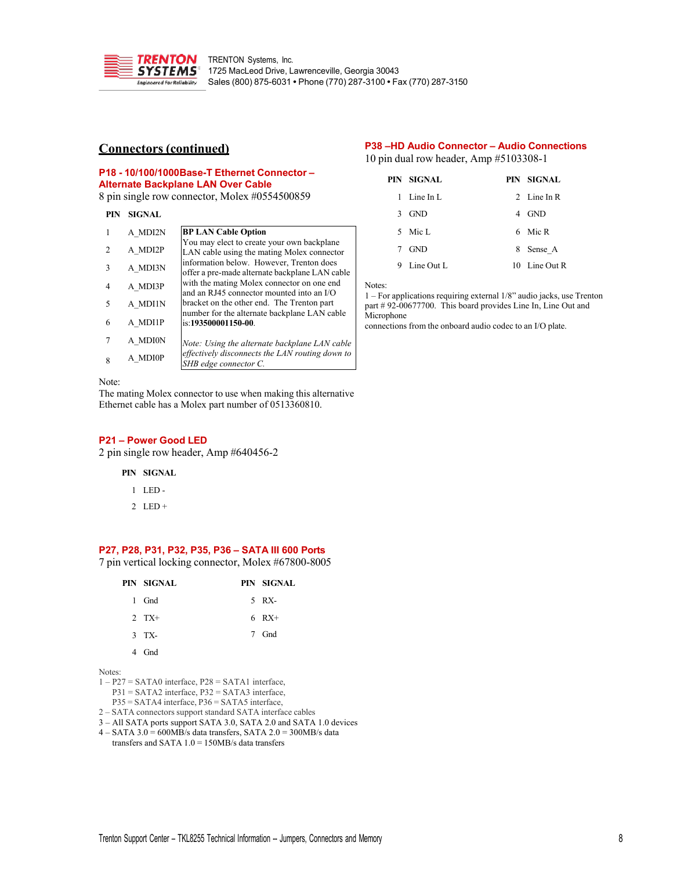

# **Connectors (continued)**

### **P38 –HD Audio Connector – Audio Connections** 10 pin dual row header, Amp #5103308-1

**P18 - 10/100/1000Base-T Ethernet Connector – Alternate Backplane LAN Over Cable**

8 pin single row connector, Molex #0554500859

### **PIN SIGNAL**

| 1 | A MDI2N | <b>BP LAN Cable Option</b>                                                                 |
|---|---------|--------------------------------------------------------------------------------------------|
| 2 | A MDI2P | You may elect to create your own backplane<br>LAN cable using the mating Molex connector   |
| 3 | A MDI3N | information below. However, Trenton does<br>offer a pre-made alternate backplane LAN cable |
| 4 | A MDI3P | with the mating Molex connector on one end<br>and an RJ45 connector mounted into an I/O    |
| 5 | A MDI1N | bracket on the other end. The Trenton part<br>number for the alternate backplane LAN cable |
| 6 | A MDI1P | is:193500001150-00.                                                                        |
| 7 | A MDI0N | Note: Using the alternate backplane LAN cable                                              |
| 8 | A MDI0P | effectively disconnects the LAN routing down to<br>SHB edge connector C.                   |

#### Note:

The mating Molex connector to use when making this alternative Ethernet cable has a Molex part number of 0513360810.

### **P21 – Power Good LED**

2 pin single row header, Amp #640456-2

## **PIN SIGNAL**

- 1 LED -
- 2  $LED +$

# **P27, P28, P31, P32, P35, P36 – SATA III 600 Ports**

7 pin vertical locking connector, Molex #67800-8005

| PIN SIGNAL | PIN SIGNAL |
|------------|------------|
| 1 Gnd      | 5 RX-      |
| $2$ TX+    | $6 RX+$    |
| $3$ TX-    | 7 Gnd      |
| 4 Gnd      |            |

Notes:

1 – P27 = SATA0 interface, P28 = SATA1 interface,

P31 = SATA2 interface, P32 = SATA3 interface,

P35 = SATA4 interface, P36 = SATA5 interface,

- 2 SATA connectors support standard SATA interface cables
- 3 All SATA ports support SATA 3.0, SATA 2.0 and SATA 1.0 devices  $4 - \text{SATA } 3.0 = 600 \text{MB/s}$  data transfers, SATA  $2.0 = 300 \text{MB/s}$  data

transfers and SATA  $1.0 = 150MB/s$  data transfers

|               | PIN SIGNAL  |   | PIN SIGNAL    |
|---------------|-------------|---|---------------|
|               | 1 Line In L |   | 2 Line In R   |
| $\mathcal{F}$ | <b>GND</b>  | 4 | GND           |
|               | 5 Mic L     |   | 6 Mic R       |
| 7             | <b>GND</b>  | 8 | Sense A       |
| 9             | Line Out L  |   | 10 Line Out R |

Notes:

1 – For applications requiring external 1/8" audio jacks, use Trenton part # 92-00677700. This board provides Line In, Line Out and Microphone

connections from the onboard audio codec to an I/O plate.